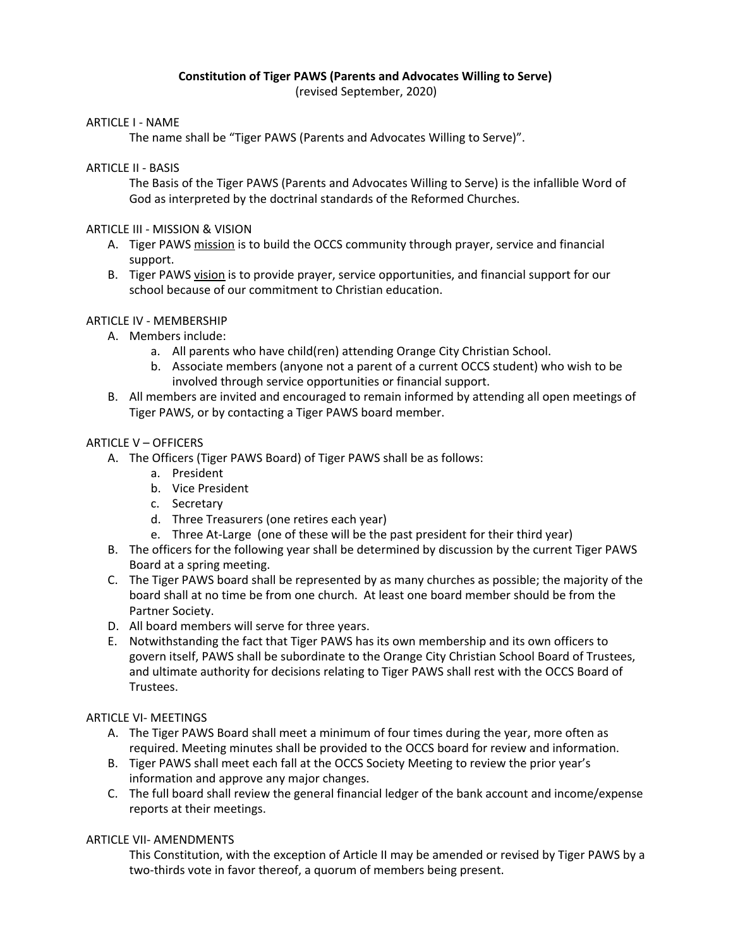# **Constitution of Tiger PAWS (Parents and Advocates Willing to Serve)**

(revised September, 2020)

## ARTICLE I - NAME

The name shall be "Tiger PAWS (Parents and Advocates Willing to Serve)".

## ARTICLE II - BASIS

The Basis of the Tiger PAWS (Parents and Advocates Willing to Serve) is the infallible Word of God as interpreted by the doctrinal standards of the Reformed Churches.

# ARTICLE III - MISSION & VISION

- A. Tiger PAWS mission is to build the OCCS community through prayer, service and financial support.
- B. Tiger PAWS vision is to provide prayer, service opportunities, and financial support for our school because of our commitment to Christian education.

# ARTICLE IV - MEMBERSHIP

- A. Members include:
	- a. All parents who have child(ren) attending Orange City Christian School.
	- b. Associate members (anyone not a parent of a current OCCS student) who wish to be involved through service opportunities or financial support.
- B. All members are invited and encouraged to remain informed by attending all open meetings of Tiger PAWS, or by contacting a Tiger PAWS board member.

# ARTICLE V – OFFICERS

- A. The Officers (Tiger PAWS Board) of Tiger PAWS shall be as follows:
	- a. President
	- b. Vice President
	- c. Secretary
	- d. Three Treasurers (one retires each year)
	- e. Three At-Large (one of these will be the past president for their third year)
- B. The officers for the following year shall be determined by discussion by the current Tiger PAWS Board at a spring meeting.
- C. The Tiger PAWS board shall be represented by as many churches as possible; the majority of the board shall at no time be from one church. At least one board member should be from the Partner Society.
- D. All board members will serve for three years.
- E. Notwithstanding the fact that Tiger PAWS has its own membership and its own officers to govern itself, PAWS shall be subordinate to the Orange City Christian School Board of Trustees, and ultimate authority for decisions relating to Tiger PAWS shall rest with the OCCS Board of Trustees.

## ARTICLE VI- MEETINGS

- A. The Tiger PAWS Board shall meet a minimum of four times during the year, more often as required. Meeting minutes shall be provided to the OCCS board for review and information.
- B. Tiger PAWS shall meet each fall at the OCCS Society Meeting to review the prior year's information and approve any major changes.
- C. The full board shall review the general financial ledger of the bank account and income/expense reports at their meetings.

# ARTICLE VII- AMENDMENTS

This Constitution, with the exception of Article II may be amended or revised by Tiger PAWS by a two-thirds vote in favor thereof, a quorum of members being present.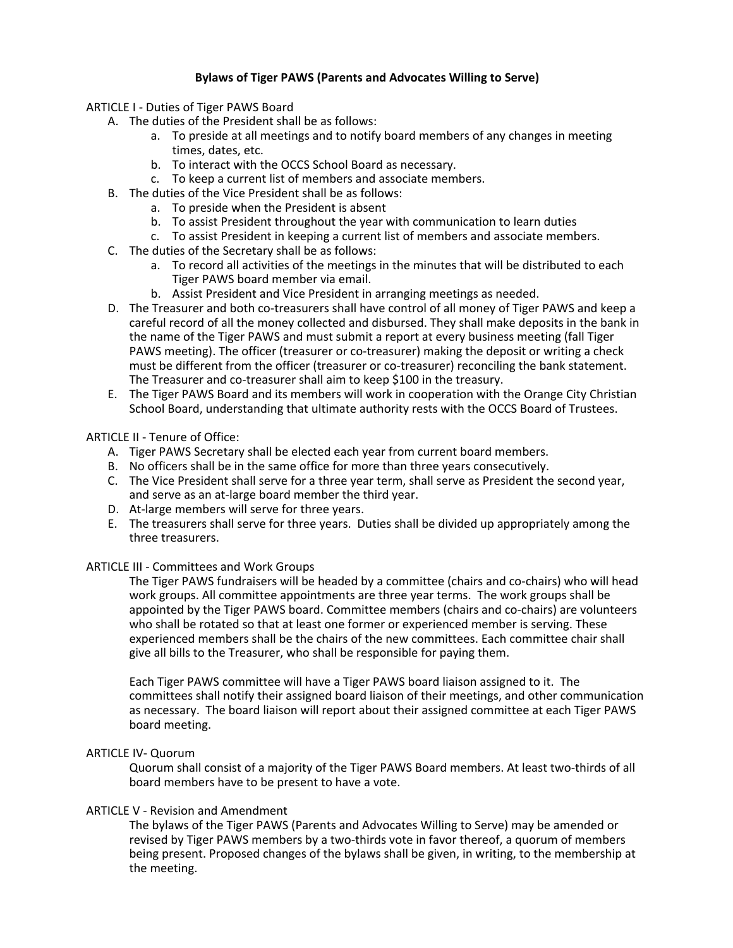### **Bylaws of Tiger PAWS (Parents and Advocates Willing to Serve)**

- ARTICLE I Duties of Tiger PAWS Board
	- A. The duties of the President shall be as follows:
		- a. To preside at all meetings and to notify board members of any changes in meeting times, dates, etc.
		- b. To interact with the OCCS School Board as necessary.
		- c. To keep a current list of members and associate members.
	- B. The duties of the Vice President shall be as follows:
		- a. To preside when the President is absent
		- b. To assist President throughout the year with communication to learn duties
		- c. To assist President in keeping a current list of members and associate members.
	- C. The duties of the Secretary shall be as follows:
		- a. To record all activities of the meetings in the minutes that will be distributed to each Tiger PAWS board member via email.
		- b. Assist President and Vice President in arranging meetings as needed.
	- D. The Treasurer and both co-treasurers shall have control of all money of Tiger PAWS and keep a careful record of all the money collected and disbursed. They shall make deposits in the bank in the name of the Tiger PAWS and must submit a report at every business meeting (fall Tiger PAWS meeting). The officer (treasurer or co-treasurer) making the deposit or writing a check must be different from the officer (treasurer or co-treasurer) reconciling the bank statement. The Treasurer and co-treasurer shall aim to keep \$100 in the treasury.
	- E. The Tiger PAWS Board and its members will work in cooperation with the Orange City Christian School Board, understanding that ultimate authority rests with the OCCS Board of Trustees.

### ARTICLE II - Tenure of Office:

- A. Tiger PAWS Secretary shall be elected each year from current board members.
- B. No officers shall be in the same office for more than three years consecutively.
- C. The Vice President shall serve for a three year term, shall serve as President the second year, and serve as an at-large board member the third year.
- D. At-large members will serve for three years.
- E. The treasurers shall serve for three years. Duties shall be divided up appropriately among the three treasurers.

### ARTICLE III - Committees and Work Groups

The Tiger PAWS fundraisers will be headed by a committee (chairs and co-chairs) who will head work groups. All committee appointments are three year terms. The work groups shall be appointed by the Tiger PAWS board. Committee members (chairs and co-chairs) are volunteers who shall be rotated so that at least one former or experienced member is serving. These experienced members shall be the chairs of the new committees. Each committee chair shall give all bills to the Treasurer, who shall be responsible for paying them.

Each Tiger PAWS committee will have a Tiger PAWS board liaison assigned to it. The committees shall notify their assigned board liaison of their meetings, and other communication as necessary. The board liaison will report about their assigned committee at each Tiger PAWS board meeting.

### ARTICLE IV- Quorum

Quorum shall consist of a majority of the Tiger PAWS Board members. At least two-thirds of all board members have to be present to have a vote.

### ARTICLE V - Revision and Amendment

The bylaws of the Tiger PAWS (Parents and Advocates Willing to Serve) may be amended or revised by Tiger PAWS members by a two-thirds vote in favor thereof, a quorum of members being present. Proposed changes of the bylaws shall be given, in writing, to the membership at the meeting.